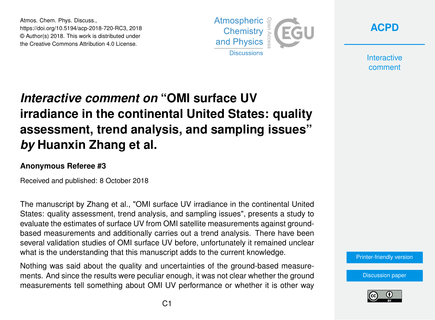Atmos. Chem. Phys. Discuss., https://doi.org/10.5194/acp-2018-720-RC3, 2018 © Author(s) 2018. This work is distributed under the Creative Commons Attribution 4.0 License.





**Interactive** comment

# *Interactive comment on* **"OMI surface UV irradiance in the continental United States: quality assessment, trend analysis, and sampling issues"** *by* **Huanxin Zhang et al.**

#### **Anonymous Referee #3**

Received and published: 8 October 2018

The manuscript by Zhang et al., "OMI surface UV irradiance in the continental United States: quality assessment, trend analysis, and sampling issues", presents a study to evaluate the estimates of surface UV from OMI satellite measurements against groundbased measurements and additionally carries out a trend analysis. There have been several validation studies of OMI surface UV before, unfortunately it remained unclear what is the understanding that this manuscript adds to the current knowledge.

Nothing was said about the quality and uncertainties of the ground-based measurements. And since the results were peculiar enough, it was not clear whether the ground measurements tell something about OMI UV performance or whether it is other way



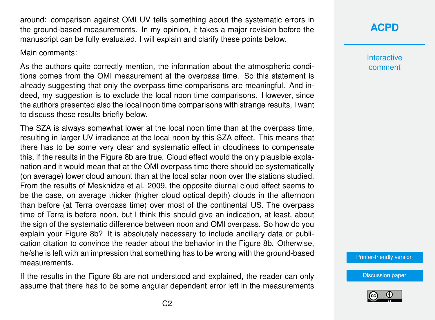around: comparison against OMI UV tells something about the systematic errors in the ground-based measurements. In my opinion, it takes a major revision before the manuscript can be fully evaluated. I will explain and clarify these points below.

Main comments:

As the authors quite correctly mention, the information about the atmospheric conditions comes from the OMI measurement at the overpass time. So this statement is already suggesting that only the overpass time comparisons are meaningful. And indeed, my suggestion is to exclude the local noon time comparisons. However, since the authors presented also the local noon time comparisons with strange results, I want to discuss these results briefly below.

The SZA is always somewhat lower at the local noon time than at the overpass time, resulting in larger UV irradiance at the local noon by this SZA effect. This means that there has to be some very clear and systematic effect in cloudiness to compensate this, if the results in the Figure 8b are true. Cloud effect would the only plausible explanation and it would mean that at the OMI overpass time there should be systematically (on average) lower cloud amount than at the local solar noon over the stations studied. From the results of Meskhidze et al. 2009, the opposite diurnal cloud effect seems to be the case, on average thicker (higher cloud optical depth) clouds in the afternoon than before (at Terra overpass time) over most of the continental US. The overpass time of Terra is before noon, but I think this should give an indication, at least, about the sign of the systematic difference between noon and OMI overpass. So how do you explain your Figure 8b? It is absolutely necessary to include ancillary data or publication citation to convince the reader about the behavior in the Figure 8b. Otherwise, he/she is left with an impression that something has to be wrong with the ground-based measurements.

If the results in the Figure 8b are not understood and explained, the reader can only assume that there has to be some angular dependent error left in the measurements

## **[ACPD](https://www.atmos-chem-phys-discuss.net/)**

**Interactive** comment

[Printer-friendly version](https://www.atmos-chem-phys-discuss.net/acp-2018-720/acp-2018-720-RC3-print.pdf)

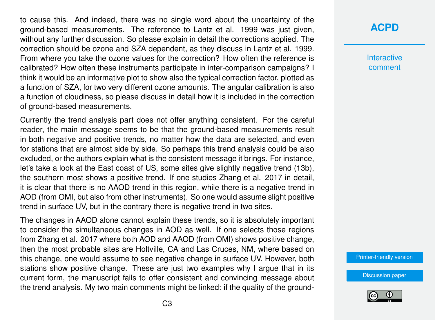to cause this. And indeed, there was no single word about the uncertainty of the ground-based measurements. The reference to Lantz et al. 1999 was just given, without any further discussion. So please explain in detail the corrections applied. The correction should be ozone and SZA dependent, as they discuss in Lantz et al. 1999. From where you take the ozone values for the correction? How often the reference is calibrated? How often these instruments participate in inter-comparison campaigns? I think it would be an informative plot to show also the typical correction factor, plotted as a function of SZA, for two very different ozone amounts. The angular calibration is also a function of cloudiness, so please discuss in detail how it is included in the correction of ground-based measurements.

Currently the trend analysis part does not offer anything consistent. For the careful reader, the main message seems to be that the ground-based measurements result in both negative and positive trends, no matter how the data are selected, and even for stations that are almost side by side. So perhaps this trend analysis could be also excluded, or the authors explain what is the consistent message it brings. For instance, let's take a look at the East coast of US, some sites give slightly negative trend (13b), the southern most shows a positive trend. If one studies Zhang et al. 2017 in detail, it is clear that there is no AAOD trend in this region, while there is a negative trend in AOD (from OMI, but also from other instruments). So one would assume slight positive trend in surface UV, but in the contrary there is negative trend in two sites.

The changes in AAOD alone cannot explain these trends, so it is absolutely important to consider the simultaneous changes in AOD as well. If one selects those regions from Zhang et al. 2017 where both AOD and AAOD (from OMI) shows positive change, then the most probable sites are Holtville, CA and Las Cruces, NM, where based on this change, one would assume to see negative change in surface UV. However, both stations show positive change. These are just two examples why I argue that in its current form, the manuscript fails to offer consistent and convincing message about the trend analysis. My two main comments might be linked: if the quality of the ground-

## **[ACPD](https://www.atmos-chem-phys-discuss.net/)**

**Interactive** comment

[Printer-friendly version](https://www.atmos-chem-phys-discuss.net/acp-2018-720/acp-2018-720-RC3-print.pdf)

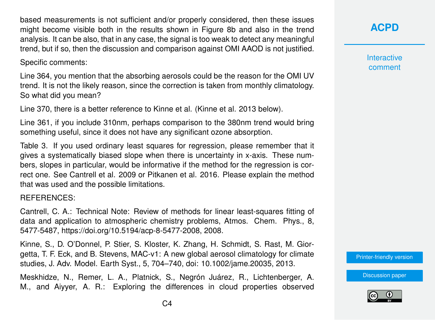based measurements is not sufficient and/or properly considered, then these issues might become visible both in the results shown in Figure 8b and also in the trend analysis. It can be also, that in any case, the signal is too weak to detect any meaningful trend, but if so, then the discussion and comparison against OMI AAOD is not justified.

Specific comments:

Line 364, you mention that the absorbing aerosols could be the reason for the OMI UV trend. It is not the likely reason, since the correction is taken from monthly climatology. So what did you mean?

Line 370, there is a better reference to Kinne et al. (Kinne et al. 2013 below).

Line 361, if you include 310nm, perhaps comparison to the 380nm trend would bring something useful, since it does not have any significant ozone absorption.

Table 3. If you used ordinary least squares for regression, please remember that it gives a systematically biased slope when there is uncertainty in x-axis. These numbers, slopes in particular, would be informative if the method for the regression is correct one. See Cantrell et al. 2009 or Pitkanen et al. 2016. Please explain the method that was used and the possible limitations.

#### REFERENCES:

Cantrell, C. A.: Technical Note: Review of methods for linear least-squares fitting of data and application to atmospheric chemistry problems, Atmos. Chem. Phys., 8, 5477-5487, https://doi.org/10.5194/acp-8-5477-2008, 2008.

Kinne, S., D. O'Donnel, P. Stier, S. Kloster, K. Zhang, H. Schmidt, S. Rast, M. Giorgetta, T. F. Eck, and B. Stevens, MAC-v1: A new global aerosol climatology for climate studies, J. Adv. Model. Earth Syst., 5, 704–740, doi: 10.1002/jame.20035, 2013.

Meskhidze, N., Remer, L. A., Platnick, S., Negrón Juárez, R., Lichtenberger, A. M., and Aiyyer, A. R.: Exploring the differences in cloud properties observed **[ACPD](https://www.atmos-chem-phys-discuss.net/)**

**Interactive** comment

[Printer-friendly version](https://www.atmos-chem-phys-discuss.net/acp-2018-720/acp-2018-720-RC3-print.pdf)